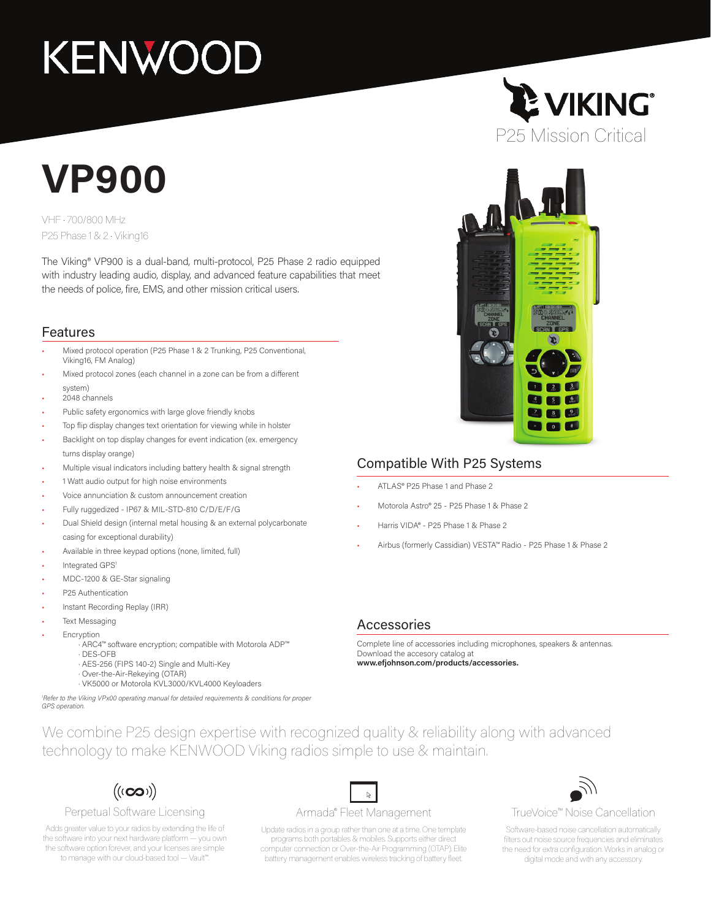# **KENWOOD**

## **VP900**

VHF • 700/800 MHz P25 Phase 1 & 2 • Viking16

The Viking® VP900 is a dual-band, multi-protocol, P25 Phase 2 radio equipped with industry leading audio, display, and advanced feature capabilities that meet the needs of police, fire, EMS, and other mission critical users.

#### Features

- Mixed protocol operation (P25 Phase 1 & 2 Trunking, P25 Conventional, Viking16, FM Analog)
- Mixed protocol zones (each channel in a zone can be from a different system)
- 2048 channels
- Public safety ergonomics with large glove friendly knobs
- Top flip display changes text orientation for viewing while in holster
- Backlight on top display changes for event indication (ex. emergency turns display orange)
- Multiple visual indicators including battery health & signal strength
- 1 Watt audio output for high noise environments
- Voice annunciation & custom announcement creation
- Fully ruggedized IP67 & MIL-STD-810 C/D/E/F/G
- Dual Shield design (internal metal housing & an external polycarbonate casing for exceptional durability)
- Available in three keypad options (none, limited, full)
- Integrated GPS<sup>1</sup>
- MDC-1200 & GE-Star signaling
- P25 Authentication
- Instant Recording Replay (IRR)
- **Text Messaging**
- **Encryption** 
	- · ARC4™ software encryption; compatible with Motorola ADP™
	- · DES-OFB
	- · AES-256 (FIPS 140-2) Single and Multi-Key
	- · Over-the-Air-Rekeying (OTAR)
	- · VK5000 or Motorola KVL3000/KVL4000 Keyloaders

*1 Refer to the Viking VPx00 operating manual for detailed requirements & conditions for proper GPS operation.*

#### Compatible With P25 Systems

- ATLAS® P25 Phase 1 and Phase 2
- Motorola Astro® 25 P25 Phase 1 & Phase 2
- Harris VIDA® P25 Phase 1 & Phase 2
- Airbus (formerly Cassidian) VESTA™ Radio P25 Phase 1 & Phase 2

#### Accessories

Complete line of accessories including microphones, speakers & antennas. Download the accesory catalog at **www.efjohnson.com/products/accessories.**

We combine P25 design expertise with recognized quality & reliability along with advanced technology to make KENWOOD Viking radios simple to use & maintain.



#### Perpetual Software Licensing

Adds greater value to your radios by extending the life of the software into your next hardware platform — you own the software option forever, and your licenses are simple to manage with our cloud-based tool — Vault™.

#### $\mathbb R^-$ Armada® Fleet Management

Update radios in a group rather than one at a time. One template programs both portables & mobiles. Supports either direct computer connection or Over-the-Air Programming (OTAP). Elite battery management enables wireless tracking of battery fleet.



TrueVoice™ Noise Cancellation

Software-based noise cancellation automatically filters out noise source frequencies and eliminates the need for extra configuration. Works in analog or digital mode and with any accessory.